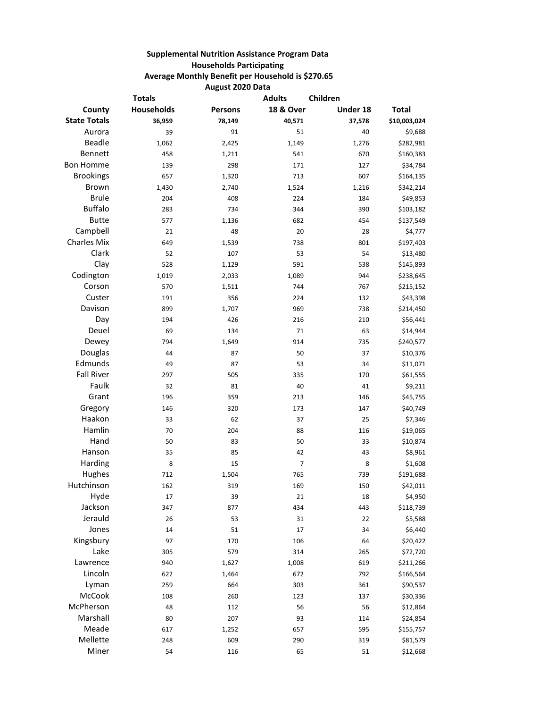## **Supplemental Nutrition Assistance Program Data Households Participating Average Monthly Benefit per Household is \$270.65 August 2020 Data**

| <b>Totals</b>       |                   |                | <b>Adults</b><br>Children |          |              |
|---------------------|-------------------|----------------|---------------------------|----------|--------------|
| County              | <b>Households</b> | <b>Persons</b> | <b>18 &amp; Over</b>      | Under 18 | <b>Total</b> |
| <b>State Totals</b> | 36,959            | 78,149         | 40,571                    | 37,578   | \$10,003,024 |
| Aurora              | 39                | 91             | 51                        | 40       | \$9,688      |
| <b>Beadle</b>       | 1,062             | 2,425          | 1,149                     | 1,276    | \$282,981    |
| Bennett             | 458               | 1,211          | 541                       | 670      | \$160,383    |
| <b>Bon Homme</b>    | 139               | 298            | 171                       | 127      | \$34,784     |
| <b>Brookings</b>    | 657               | 1,320          | 713                       | 607      | \$164,135    |
| <b>Brown</b>        | 1,430             | 2,740          | 1,524                     | 1,216    | \$342,214    |
| <b>Brule</b>        | 204               | 408            | 224                       | 184      | \$49,853     |
| <b>Buffalo</b>      | 283               | 734            | 344                       | 390      | \$103,182    |
| <b>Butte</b>        | 577               | 1,136          | 682                       | 454      | \$137,549    |
| Campbell            | 21                | 48             | 20                        | 28       | \$4,777      |
| <b>Charles Mix</b>  | 649               | 1,539          | 738                       | 801      | \$197,403    |
| Clark               | 52                | 107            | 53                        | 54       | \$13,480     |
| Clay                | 528               | 1,129          | 591                       | 538      | \$145,893    |
| Codington           | 1,019             | 2,033          | 1,089                     | 944      | \$238,645    |
| Corson              | 570               | 1,511          | 744                       | 767      | \$215,152    |
| Custer              | 191               | 356            | 224                       | 132      | \$43,398     |
| Davison             | 899               | 1,707          | 969                       | 738      | \$214,450    |
| Day                 | 194               | 426            | 216                       | 210      | \$56,441     |
| Deuel               | 69                | 134            | 71                        | 63       | \$14,944     |
| Dewey               | 794               | 1,649          | 914                       | 735      | \$240,577    |
| Douglas             | 44                | 87             | 50                        | 37       | \$10,376     |
| Edmunds             | 49                | 87             | 53                        | 34       | \$11,071     |
| <b>Fall River</b>   | 297               | 505            | 335                       | 170      | \$61,555     |
| Faulk               | 32                | 81             | 40                        | 41       | \$9,211      |
| Grant               | 196               | 359            | 213                       | 146      | \$45,755     |
| Gregory             | 146               | 320            | 173                       | 147      | \$40,749     |
| Haakon              | 33                | 62             | 37                        | 25       | \$7,346      |
| Hamlin              | 70                | 204            | 88                        | 116      | \$19,065     |
| Hand                | 50                | 83             | 50                        | 33       | \$10,874     |
| Hanson              | 35                | 85             | 42                        | 43       | \$8,961      |
| Harding             | 8                 | 15             | 7                         | 8        | \$1,608      |
| Hughes              | 712               | 1,504          | 765                       | 739      | \$191,688    |
| Hutchinson          | 162               | 319            | 169                       | 150      | \$42,011     |
| Hyde                | 17                | 39             | 21                        | 18       | \$4,950      |
| Jackson             | 347               | 877            | 434                       | 443      | \$118,739    |
| Jerauld             | 26                | 53             | 31                        | 22       | \$5,588      |
| Jones               | 14                | 51             | 17                        | 34       | \$6,440      |
| Kingsbury           | 97                | 170            | 106                       | 64       | \$20,422     |
| Lake                | 305               | 579            | 314                       | 265      | \$72,720     |
| Lawrence            | 940               | 1,627          | 1,008                     | 619      | \$211,266    |
| Lincoln             | 622               | 1,464          | 672                       | 792      | \$166,564    |
| Lyman               | 259               | 664            | 303                       | 361      | \$90,537     |
| McCook              | 108               | 260            | 123                       | 137      | \$30,336     |
| McPherson           | 48                | 112            | 56                        | 56       | \$12,864     |
| Marshall            | 80                | 207            | 93                        | 114      | \$24,854     |
| Meade               | 617               | 1,252          | 657                       | 595      | \$155,757    |
| Mellette            | 248               | 609            | 290                       | 319      | \$81,579     |
| Miner               | 54                | 116            | 65                        | 51       | \$12,668     |